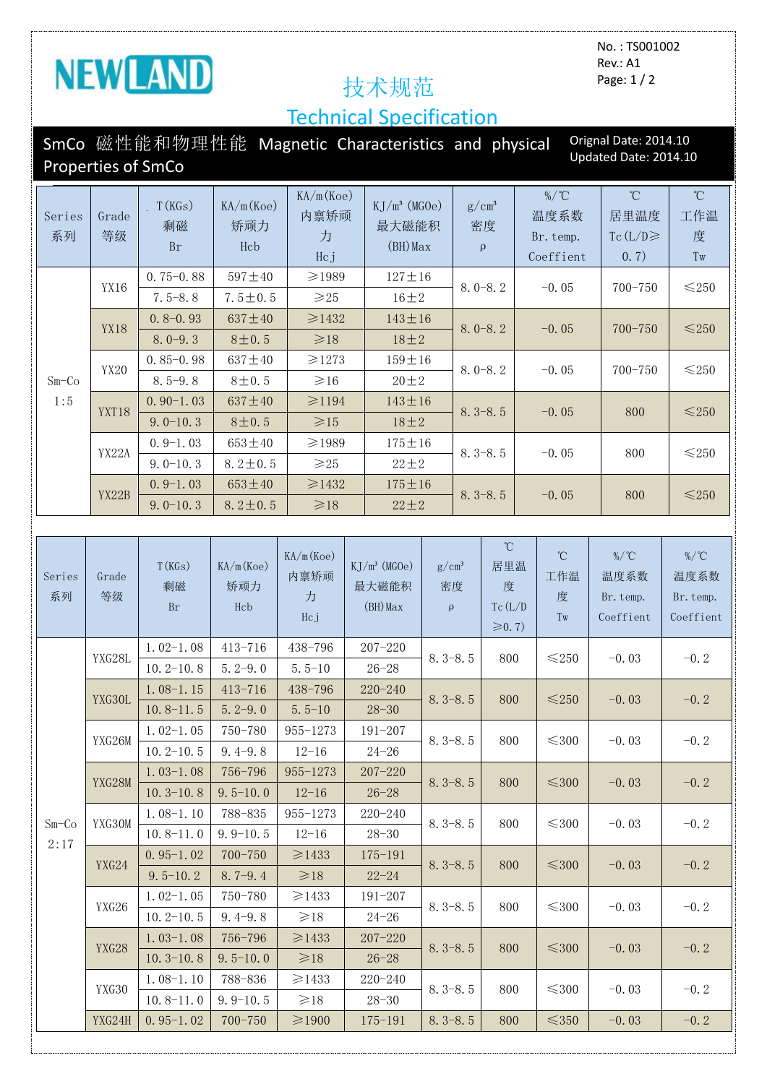

No. : TS001002 Rev.: A1 Page: 1 / 2

## Technical Specification

|                | <b>Properties of SmCo</b> | SmCo 磁性能和物理性能 Magnetic Characteristics and physical |                         |                               |  |                                        |                                       |                                |                                                                                                                 |                                            |                                | Orignal Date: 2014.10<br>Updated Date: 2014.10 |                                            |
|----------------|---------------------------|-----------------------------------------------------|-------------------------|-------------------------------|--|----------------------------------------|---------------------------------------|--------------------------------|-----------------------------------------------------------------------------------------------------------------|--------------------------------------------|--------------------------------|------------------------------------------------|--------------------------------------------|
| Series<br>系列   | Grade<br>等级               | T(KGs)<br>剩磁<br><b>Br</b>                           | KA/m(Koe)<br>矫顽力<br>Hcb | KA/m(Koe)<br>内禀矫顽<br>力<br>Hcj |  | $KJ/m^3$ (MGOe)<br>最大磁能积<br>$(BH)$ Max |                                       | $g/cm^3$<br>密度<br>$\mathbf{q}$ |                                                                                                                 | $\%$ /°C<br>温度系数<br>Br. temp.<br>Coeffient |                                | $^{\circ}$ C<br>居里温度<br>Tc $(L/D)$<br>0.7)     | $^{\circ}\!{\rm C}$<br>工作温<br>度<br>Tw      |
| $Sm-Co$<br>1:5 | YX16                      | $0.75 - 0.88$                                       | $597 + 40$              | ≥1989                         |  | $127 \pm 16$                           |                                       |                                | $8.0 - 8.2$                                                                                                     |                                            | $-0.05$                        | $700 - 750$                                    | ${\leq}250$                                |
|                |                           | $7.5 - 8.8$                                         | $7.5 \pm 0.5$           | $\geq 25$                     |  | $16 \pm 2$                             |                                       |                                |                                                                                                                 |                                            |                                |                                                |                                            |
|                | <b>YX18</b>               | $0.8 - 0.93$                                        | $637 + 40$              | ≥1432                         |  | $143 \pm 16$                           | $8.0 - 8.2$                           |                                |                                                                                                                 |                                            | $-0.05$                        | $700 - 750$                                    | $≤250$                                     |
|                |                           | $8.0 - 9.3$                                         | 8 ± 0.5                 | $\geq 18$                     |  | $18 \pm 2$                             |                                       |                                |                                                                                                                 |                                            |                                |                                                |                                            |
|                | YX20                      | $0.85 - 0.98$                                       | $637 + 40$              | ≥1273                         |  | $159 \pm 16$                           | $8.0 - 8.2$                           |                                |                                                                                                                 | $-0.05$                                    |                                | 700-750                                        | ${\leq}250$                                |
|                |                           | $8.5 - 9.8$                                         | $8 + 0.5$               | $\geq 16$                     |  | $20 \pm 2$                             |                                       |                                |                                                                                                                 |                                            |                                |                                                |                                            |
|                | YXT18                     | $0.90-1.03$                                         | $637 + 40$              | $≥1194$                       |  | $143 \pm 16$                           |                                       |                                | $8.3 - 8.5$                                                                                                     |                                            | $-0.05$                        | 800                                            | ${\leq}250$                                |
|                |                           | $9.0 - 10.3$                                        | 8 ± 0.5                 | $\geqslant$ 15                |  | $18 \pm 2$                             |                                       |                                |                                                                                                                 |                                            |                                |                                                |                                            |
|                | YX22A                     | $0.9-1.03$                                          | $653\pm40$              | $\geq 1989$                   |  | $175 \pm 16$                           |                                       | $8.3 - 8.5$                    |                                                                                                                 | $-0.05$                                    |                                | 800                                            | $≤250$                                     |
|                |                           | $9.0 - 10.3$                                        | $8.2 \pm 0.5$           | $\geqslant$ 25                |  | $22 \pm 2$                             |                                       |                                |                                                                                                                 |                                            |                                |                                                |                                            |
|                | YX22B                     | $0.9-1.03$                                          | $653 \pm 40$            | $\geq$ 1432                   |  | $175 \pm 16$<br>$22 \pm 2$             |                                       |                                | $8.3 - 8.5$                                                                                                     |                                            | $-0.05$                        | 800                                            | ${\leq}250$                                |
|                |                           | $9.0 - 10.3$                                        | $8.2 \pm 0.5$           | $\geq 18$                     |  |                                        |                                       |                                |                                                                                                                 |                                            |                                |                                                |                                            |
|                |                           |                                                     |                         |                               |  |                                        |                                       |                                |                                                                                                                 |                                            |                                |                                                |                                            |
| Series<br>系列   | Grade<br>等级               | T(KGs)<br>剩磁<br><b>Br</b>                           | KA/m(Koe)<br>矫顽力<br>Hcb | KA/m(Koe)<br>内禀矫顽<br>力<br>Hcj |  | $KJ/m^3$ (MGOe)<br>最大磁能积<br>(BH) Max   | $g/cm^3$<br>密度<br>$\boldsymbol{\rho}$ |                                | $^{\circ}\!{\rm C}$<br>居里温<br>度<br>$\operatorname{Tc}\left( \mathcal{L}/\mathcal{D}\right)$<br>$\geqslant$ 0.7) |                                            | $^{\circ}$ C<br>工作温<br>度<br>Tw | $\%$ /°C<br>温度系数<br>Br. temp.<br>Coeffient     | $\%$ /°C<br>温度系数<br>Br. temp.<br>Coeffient |
|                | YXG28L                    | $1.02-1.08$                                         | 413-716                 | 438-796                       |  | $207 - 220$                            | $8.3 - 8.5$                           |                                |                                                                                                                 |                                            | $≤250$                         | $-0.03$                                        | $-0.2$                                     |
|                |                           | $10.2 - 10.8$                                       | $5.2 - 9.0$             | $5.5 - 10$                    |  | $26 - 28$                              |                                       |                                | 800                                                                                                             |                                            |                                |                                                |                                            |
|                | YXG30L                    | $1.08 - 1.15$                                       | $413 - 716$             | 438-796                       |  | $220 - 240$                            | $8.3 - 8.5$                           |                                | 800                                                                                                             |                                            | ${\leq}250$                    | $-0.03$                                        | $-0.2$                                     |
|                |                           | $10.8 - 11.5$                                       | $5.2 - 9.0$             | $5.5 - 10$                    |  | $28 - 30$                              |                                       |                                |                                                                                                                 |                                            |                                |                                                |                                            |
|                | YXG26M                    | $1.02-1.05$                                         | 750-780                 | 955-1273                      |  | $191 - 207$                            | $8.3 - 8.5$                           |                                | 800                                                                                                             |                                            | $\leq$ 300                     | $-0.03$                                        | $-0.2$                                     |
|                |                           | $10.2 - 10.5$                                       | $9.4 - 9.8$             | $12 - 16$                     |  | $24 - 26$                              |                                       |                                |                                                                                                                 |                                            |                                |                                                |                                            |
| $Sm-Co$        | YXG28M                    | $1.03-1.08$                                         | 756-796                 | 955-1273                      |  | $207 - 220$                            | $8.3 - 8.5$                           |                                | 800                                                                                                             |                                            | $≤300$                         | $-0.03$                                        | $-0.2$                                     |
|                |                           | $10.3 - 10.8$                                       | $9.5 - 10.0$            | $12 - 16$                     |  | $26 - 28$                              |                                       |                                |                                                                                                                 |                                            |                                |                                                |                                            |
|                | YXG30M                    | $1.08-1.10$                                         | 788-835                 | 955-1273                      |  | 220-240                                | $8.3 - 8.5$                           |                                |                                                                                                                 | $\leq$ 300<br>800                          |                                | $-0.03$                                        | $-0.2$                                     |
| 2:17           |                           | $10.8 - 11.0$                                       | $9.9 - 10.5$            | $12 - 16$                     |  | $28 - 30$                              |                                       |                                |                                                                                                                 |                                            |                                |                                                |                                            |
|                | YXG24                     | $0.95-1.02$                                         | $700 - 750$             | ≥1433                         |  | $175 - 191$                            | $8.3 - 8.5$                           |                                | 800                                                                                                             |                                            | $≤300$                         | $-0.03$                                        | $-0.2$                                     |
|                |                           | $9.5 - 10.2$                                        | $8.7 - 9.4$             | $\geq 18$                     |  | $22 - 24$                              |                                       |                                |                                                                                                                 |                                            |                                |                                                |                                            |
|                | YXG26                     | $1.02-1.05$                                         | 750-780                 | $\geq$ 1433                   |  | $191 - 207$                            | $8.3 - 8.5$                           |                                | 800                                                                                                             |                                            | $\leq$ 300                     | $-0.03$                                        | $-0.2$                                     |
|                |                           | $10.2 - 10.5$                                       | $9.4 - 9.8$             | $\geq 18$                     |  | $24 - 26$                              |                                       |                                |                                                                                                                 |                                            |                                |                                                |                                            |
|                | YXG28                     | $1.03-1.08$                                         | 756-796                 | ≥1433                         |  | $207 - 220$                            | $8.3 - 8.5$                           |                                | 800                                                                                                             |                                            | $≤300$                         | $-0.03$                                        | $-0.2$                                     |
|                |                           | $10.3 - 10.8$                                       | $9.5 - 10.0$            | $\geq 18$                     |  | $26 - 28$                              |                                       |                                |                                                                                                                 |                                            |                                |                                                |                                            |
|                | YXG30                     | $1.08-1.10$                                         | 788-836                 | $\geq 1433$                   |  | $220 - 240$                            | $8.3 - 8.5$                           |                                | 800                                                                                                             |                                            | $≤300$                         | $-0.03$                                        | $-0.2$                                     |
|                |                           | $10.8 - 11.0$                                       | $9.9 - 10.5$            | $\geq 18$                     |  | $28 - 30$                              |                                       |                                |                                                                                                                 |                                            |                                |                                                |                                            |
|                | YXG24H                    | $0.95-1.02$                                         | $700 - 750$             | $\geqslant$ 1900              |  | $175 - 191$                            | $8.3 - 8.5$                           |                                | 800                                                                                                             |                                            | ${\leq}350$                    | $-0.03$                                        | $-0.2$                                     |